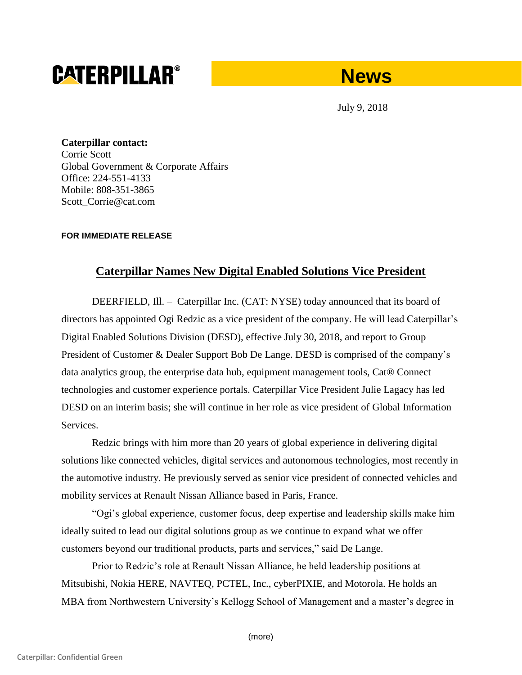# **CATERPILLAR®**

# **News**

July 9, 2018

**Caterpillar contact:** Corrie Scott Global Government & Corporate Affairs Office: 224-551-4133 Mobile: 808-351-3865 Scott\_Corrie@cat.com

## **FOR IMMEDIATE RELEASE**

# **Caterpillar Names New Digital Enabled Solutions Vice President**

DEERFIELD, Ill. – Caterpillar Inc. (CAT: NYSE) today announced that its board of directors has appointed Ogi Redzic as a vice president of the company. He will lead Caterpillar's Digital Enabled Solutions Division (DESD), effective July 30, 2018, and report to Group President of Customer & Dealer Support Bob De Lange. DESD is comprised of the company's data analytics group, the enterprise data hub, equipment management tools, Cat® Connect technologies and customer experience portals. Caterpillar Vice President Julie Lagacy has led DESD on an interim basis; she will continue in her role as vice president of Global Information Services.

Redzic brings with him more than 20 years of global experience in delivering digital solutions like connected vehicles, digital services and autonomous technologies, most recently in the automotive industry. He previously served as senior vice president of connected vehicles and mobility services at Renault Nissan Alliance based in Paris, France.

"Ogi's global experience, customer focus, deep expertise and leadership skills make him ideally suited to lead our digital solutions group as we continue to expand what we offer customers beyond our traditional products, parts and services," said De Lange.

Prior to Redzic's role at Renault Nissan Alliance, he held leadership positions at Mitsubishi, Nokia HERE, NAVTEQ, PCTEL, Inc., cyberPIXIE, and Motorola. He holds an MBA from Northwestern University's Kellogg School of Management and a master's degree in